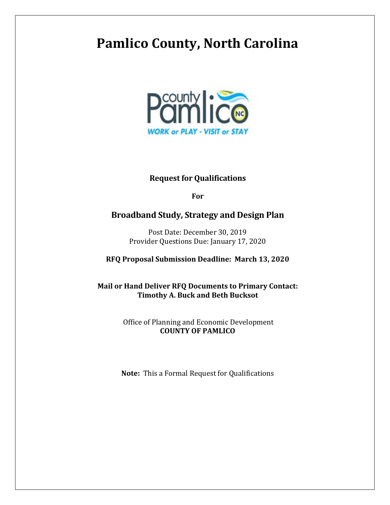# **Pamlico County, North Carolina**



### **Request for Qualifications**

**For** 

### **Broadband Study, Strategy and Design Plan**

Post Date: December 30, 2019 Provider Questions Due: January 17, 2020

**RFQ Proposal Submission Deadline: March 13, 2020**

**Mail or Hand Deliver RFQ Documents to Primary Contact: Timothy A. Buck and Beth Bucksot**

> Office of Planning and Economic Development **COUNTY OF PAMLICO**

**Note:** This a Formal Request for Qualifications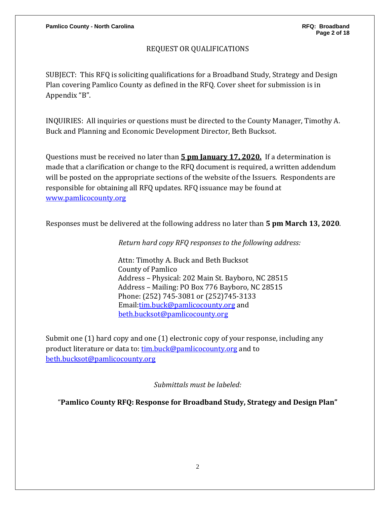### REQUEST OR QUALIFICATIONS

SUBJECT: This RFQ is soliciting qualifications for a Broadband Study, Strategy and Design Plan covering Pamlico County as defined in the RFQ. Cover sheet for submission is in Appendix "B".

INQUIRIES: All inquiries or questions must be directed to the County Manager, Timothy A. Buck and Planning and Economic Development Director, Beth Bucksot.

Questions must be received no later than **5 pm January 17, 2020.** If a determination is made that a clarification or change to the RFQ document is required, a written addendum will be posted on the appropriate sections of the website of the Issuers. Respondents are responsible for obtaining all RFQ updates. RFQ issuance may be found at [www.pamlicocounty.org](http://www.pamlicocounty.org/)

Responses must be delivered at the following address no later than **5 pm March 13, 2020**.

*Return hard copy RFQ responses to the following address:*

Attn: Timothy A. Buck and Beth Bucksot County of Pamlico Address – Physical: 202 Main St. Bayboro, NC 28515 Address – Mailing: PO Box 776 Bayboro, NC 28515 Phone: (252) 745-3081 or (252)745-3133 Email[:tim.buck@pamlicocounty.org](mailto:tim.buck@pamlicocounty.org) and [beth.bucksot@pamlicocounty.org](mailto:beth.bucksot@pamlicocounty.org)

Submit one (1) hard copy and one (1) electronic copy of your response, including any product literature or data to: [tim.buck@pamlicocounty.org](mailto:tim.buck@pamlicocounty.org) and to [beth.bucksot@pamlicocounty.org](mailto:beth.bucksot@pamlicocounty.org)

*Submittals must be labeled:*

"**Pamlico County RFQ: Response for Broadband Study, Strategy and Design Plan"**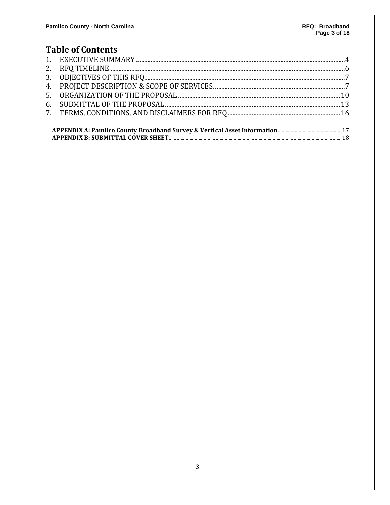### **Table of Contents**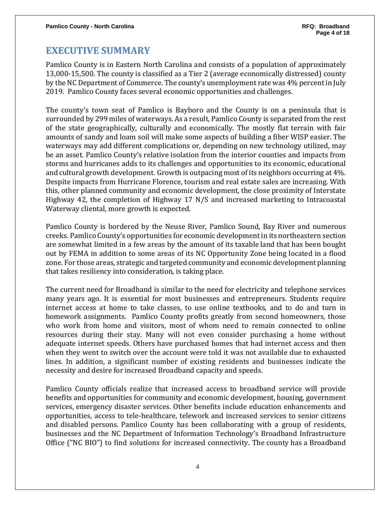### <span id="page-3-0"></span>**EXECUTIVE SUMMARY**

Pamlico County is in Eastern North Carolina and consists of a population of approximately 13,000-15,500. The county is classified as a Tier 2 (average economically distressed) county by the NC Department of Commerce. The county's unemployment rate was 4% percent in July 2019. Pamlico County faces several economic opportunities and challenges.

The county's town seat of Pamlico is Bayboro and the County is on a peninsula that is surrounded by 299 miles of waterways. As a result, Pamlico County is separated from the rest of the state geographically, culturally and economically. The mostly flat terrain with fair amounts of sandy and loam soil will make some aspects of building a fiber WISP easier. The waterways may add different complications or, depending on new technology utilized, may be an asset. Pamlico County's relative isolation from the interior counties and impacts from storms and hurricanes adds to its challenges and opportunities to its economic, educational and cultural growth development. Growth is outpacing most of its neighbors occurring at 4%. Despite impacts from Hurricane Florence, tourism and real estate sales are increasing. With this, other planned community and economic development, the close proximity of Interstate Highway 42, the completion of Highway 17 N/S and increased marketing to Intracoastal Waterway cliental, more growth is expected.

Pamlico County is bordered by the Neuse River, Pamlico Sound, Bay River and numerous creeks. Pamlico County's opportunities for economic development in its northeastern section are somewhat limited in a few areas by the amount of its taxable land that has been bought out by FEMA in addition to some areas of its NC Opportunity Zone being located in a flood zone. For those areas, strategic and targeted community and economic development planning that takes resiliency into consideration, is taking place.

The current need for Broadband is similar to the need for electricity and telephone services many years ago. It is essential for most businesses and entrepreneurs. Students require internet access at home to take classes, to use online textbooks, and to do and turn in homework assignments. Pamlico County profits greatly from second homeowners, those who work from home and visitors, most of whom need to remain connected to online resources during their stay. Many will not even consider purchasing a home without adequate internet speeds. Others have purchased homes that had internet access and then when they went to switch over the account were told it was not available due to exhausted lines. In addition, a significant number of existing residents and businesses indicate the necessity and desire for increased Broadband capacity and speeds.

Pamlico County officials realize that increased access to broadband service will provide benefits and opportunities for community and economic development, housing, government services, emergency disaster services. Other benefits include education enhancements and opportunities, access to tele-healthcare, telework and increased services to senior citizens and disabled persons. Pamlico County has been collaborating with a group of residents, businesses and the NC Department of Information Technology's Broadband Infrastructure Office ("NC BIO") to find solutions for increased connectivity. The county has a Broadband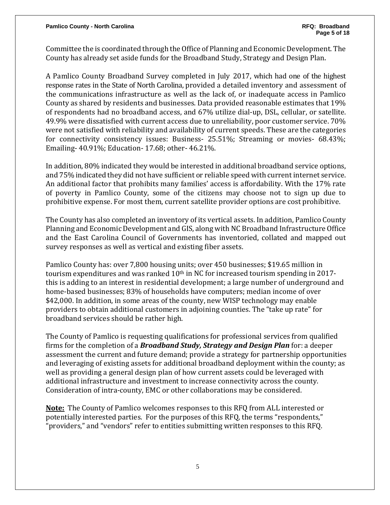**Pamlico County - North Carolina RFQ: Broadband** 

Committee the is coordinated through the Office of Planning and Economic Development. The County has already set aside funds for the Broadband Study, Strategy and Design Plan**.**

A Pamlico County Broadband Survey completed in July 2017, which had one of the highest response rates in the State of North Carolina, provided a detailed inventory and assessment of the communications infrastructure as well as the lack of, or inadequate access in Pamlico County as shared by residents and businesses. Data provided reasonable estimates that 19% of respondents had no broadband access, and 67% utilize dial-up, DSL, cellular, or satellite. 49.9% were dissatisfied with current access due to unreliability, poor customer service. 70% were not satisfied with reliability and availability of current speeds. These are the categories for connectivity consistency issues: Business- 25.51%; Streaming or movies- 68.43%; Emailing- 40.91%; Education- 17.68; other- 46.21%.

In addition, 80% indicated they would be interested in additional broadband service options, and 75% indicated they did not have sufficient or reliable speed with current internet service. An additional factor that prohibits many families' access is affordability. With the 17% rate of poverty in Pamlico County, some of the citizens may choose not to sign up due to prohibitive expense. For most them, current satellite provider options are cost prohibitive.

The County has also completed an inventory of its vertical assets. In addition, Pamlico County Planning and Economic Development and GIS, along with NC Broadband Infrastructure Office and the East Carolina Council of Governments has inventoried, collated and mapped out survey responses as well as vertical and existing fiber assets.

Pamlico County has: over 7,800 housing units; over 450 businesses; \$19.65 million in tourism expenditures and was ranked 10<sup>th</sup> in NC for increased tourism spending in 2017this is adding to an interest in residential development; a large number of underground and home-based businesses; 83% of households have computers; median income of over \$42,000. In addition, in some areas of the county, new WISP technology may enable providers to obtain additional customers in adjoining counties. The "take up rate" for broadband services should be rather high.

The County of Pamlico is requesting qualifications for professional services from qualified firms for the completion of a *Broadband Study, Strategy and Design Plan* for: a deeper assessment the current and future demand; provide a strategy for partnership opportunities and leveraging of existing assets for additional broadband deployment within the county; as well as providing a general design plan of how current assets could be leveraged with additional infrastructure and investment to increase connectivity across the county. Consideration of intra-county, EMC or other collaborations may be considered.

**Note:** The County of Pamlico welcomes responses to this RFQ from ALL interested or potentially interested parties. For the purposes of this RFQ, the terms "respondents," "providers," and "vendors" refer to entities submitting written responses to this RFQ.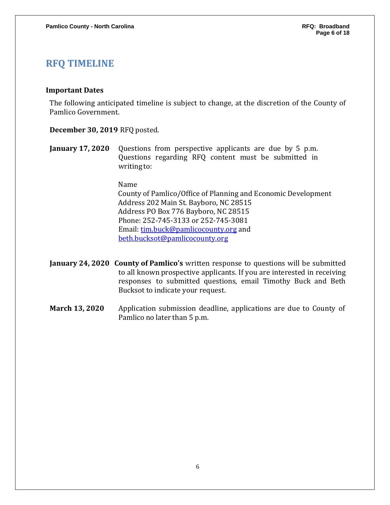### **RFQ TIMELINE**

#### **Important Dates**

The following anticipated timeline is subject to change, at the discretion of the County of Pamlico Government.

**December 30, 2019** RFQ posted.

**January 17, 2020** Questions from perspective applicants are due by 5 p.m. Questions regarding RFQ content must be submitted in writing to:

Name

County of Pamlico/Office of Planning and Economic Development Address 202 Main St. Bayboro, NC 28515 Address PO Box 776 Bayboro, NC 28515 Phone: 252-745-3133 or 252-745-3081 Email: [tim.buck@pamlicocounty.org](mailto:tim.buck@pamlicocounty.org) and [beth.bucksot@pamlicocounty.org](mailto:beth.bucksot@pamlicocounty.org)

- **January 24, 2020 County of Pamlico's** written response to questions will be submitted to all known prospective applicants. If you are interested in receiving responses to submitted questions, email Timothy Buck and Beth Bucksot to indicate your request.
- **March 13, 2020** Application submission deadline, applications are due to County of Pamlico no later than 5 p.m.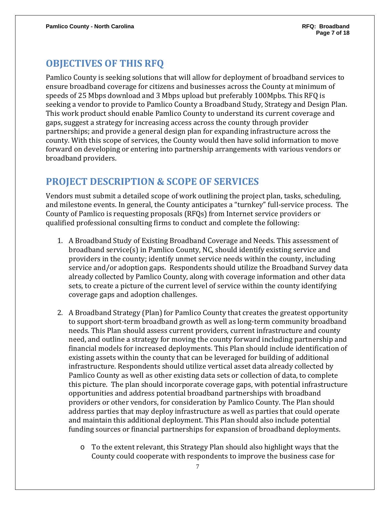### **OBJECTIVES OF THIS RFQ**

Pamlico County is seeking solutions that will allow for deployment of broadband services to ensure broadband coverage for citizens and businesses across the County at minimum of speeds of 25 Mbps download and 3 Mbps upload but preferably 100Mpbs. This RFQ is seeking a vendor to provide to Pamlico County a Broadband Study, Strategy and Design Plan. This work product should enable Pamlico County to understand its current coverage and gaps, suggest a strategy for increasing access across the county through provider partnerships; and provide a general design plan for expanding infrastructure across the county. With this scope of services, the County would then have solid information to move forward on developing or entering into partnership arrangements with various vendors or broadband providers.

## **PROJECT DESCRIPTION & SCOPE OF SERVICES**

Vendors must submit a detailed scope of work outlining the project plan, tasks, scheduling, and milestone events. In general, the County anticipates a "turnkey" full-service process. The County of Pamlico is requesting proposals (RFQs) from Internet service providers or qualified professional consulting firms to conduct and complete the following:

- 1. A Broadband Study of Existing Broadband Coverage and Needs. This assessment of broadband service(s) in Pamlico County, NC, should identify existing service and providers in the county; identify unmet service needs within the county, including service and/or adoption gaps. Respondents should utilize the Broadband Survey data already collected by Pamlico County, along with coverage information and other data sets, to create a picture of the current level of service within the county identifying coverage gaps and adoption challenges.
- 2. A Broadband Strategy (Plan) for Pamlico County that creates the greatest opportunity to support short-term broadband growth as well as long-term community broadband needs. This Plan should assess current providers, current infrastructure and county need, and outline a strategy for moving the county forward including partnership and financial models for increased deployments. This Plan should include identification of existing assets within the county that can be leveraged for building of additional infrastructure. Respondents should utilize vertical asset data already collected by Pamlico County as well as other existing data sets or collection of data, to complete this picture. The plan should incorporate coverage gaps, with potential infrastructure opportunities and address potential broadband partnerships with broadband providers or other vendors, for consideration by Pamlico County. The Plan should address parties that may deploy infrastructure as well as parties that could operate and maintain this additional deployment. This Plan should also include potential funding sources or financial partnerships for expansion of broadband deployments.
	- $\circ$  To the extent relevant, this Strategy Plan should also highlight ways that the County could cooperate with respondents to improve the business case for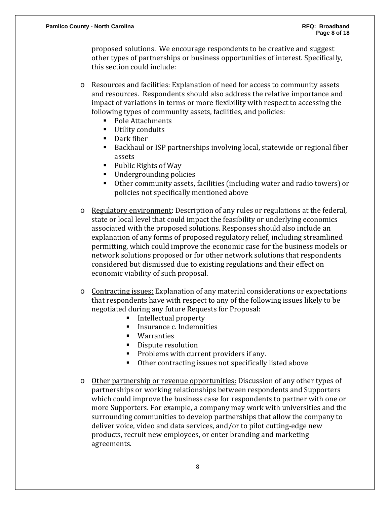proposed solutions. We encourage respondents to be creative and suggest other types of partnerships or business opportunities of interest. Specifically, this section could include:

- o Resources and facilities: Explanation of need for access to community assets and resources. Respondents should also address the relative importance and impact of variations in terms or more flexibility with respect to accessing the following types of community assets, facilities, and policies:
	- Pole Attachments<br>■ Hility conduits
	- Utility conduits
	- Dark fiber
	- Backhaul or ISP partnerships involving local, statewide or regional fiber assets
	- Public Rights of Way
	- Undergrounding policies
	- Other community assets, facilities (including water and radio towers) or policies not specifically mentioned above
- o Regulatory environment: Description of any rules or regulations at the federal, state or local level that could impact the feasibility or underlying economics associated with the proposed solutions. Responses should also include an explanation of any forms of proposed regulatory relief, including streamlined permitting, which could improve the economic case for the business models or network solutions proposed or for other network solutions that respondents considered but dismissed due to existing regulations and their effect on economic viability of such proposal.
- o Contracting issues: Explanation of any material considerations or expectations that respondents have with respect to any of the following issues likely to be negotiated during any future Requests for Proposal:
	- Intellectual property<br>■ Insurance c. Indemnit
	- Insurance c. Indemnities
	- **Warranties**
	- Dispute resolution
	- Problems with current providers if any.<br>• Other contracting issues not specifically
	- Other contracting issues not specifically listed above
- o Other partnership or revenue opportunities: Discussion of any other types of partnerships or working relationships between respondents and Supporters which could improve the business case for respondents to partner with one or more Supporters. For example, a company may work with universities and the surrounding communities to develop partnerships that allow the company to deliver voice, video and data services, and/or to pilot cutting-edge new products, recruit new employees, or enter branding and marketing agreements.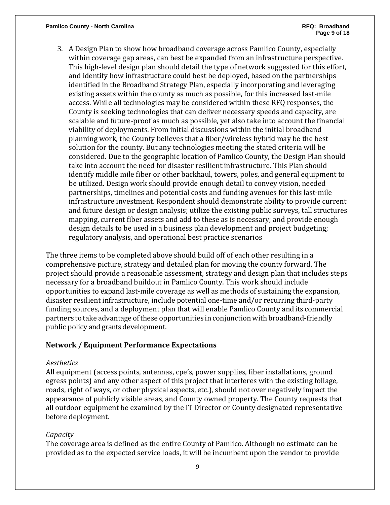#### **Pamlico County - North Carolina RFQ: Broadband**

3. A Design Plan to show how broadband coverage across Pamlico County, especially within coverage gap areas, can best be expanded from an infrastructure perspective. This high-level design plan should detail the type of network suggested for this effort, and identify how infrastructure could best be deployed, based on the partnerships identified in the Broadband Strategy Plan, especially incorporating and leveraging existing assets within the county as much as possible, for this increased last-mile access. While all technologies may be considered within these RFQ responses, the County is seeking technologies that can deliver necessary speeds and capacity, are scalable and future-proof as much as possible, yet also take into account the financial viability of deployments. From initial discussions within the initial broadband planning work, the County believes that a fiber/wireless hybrid may be the best solution for the county. But any technologies meeting the stated criteria will be considered. Due to the geographic location of Pamlico County, the Design Plan should take into account the need for disaster resilient infrastructure. This Plan should identify middle mile fiber or other backhaul, towers, poles, and general equipment to be utilized. Design work should provide enough detail to convey vision, needed partnerships, timelines and potential costs and funding avenues for this last-mile infrastructure investment. Respondent should demonstrate ability to provide current and future design or design analysis; utilize the existing public surveys, tall structures mapping, current fiber assets and add to these as is necessary; and provide enough design details to be used in a business plan development and project budgeting; regulatory analysis, and operational best practice scenarios

The three items to be completed above should build off of each other resulting in a comprehensive picture, strategy and detailed plan for moving the county forward. The project should provide a reasonable assessment, strategy and design plan that includes steps necessary for a broadband buildout in Pamlico County. This work should include opportunities to expand last-mile coverage as well as methods of sustaining the expansion, disaster resilient infrastructure, include potential one-time and/or recurring third-party funding sources, and a deployment plan that will enable Pamlico County and its commercial partners to take advantage of these opportunities in conjunction with broadband-friendly public policy and grants development.

### **Network / Equipment Performance Expectations**

#### *Aesthetics*

All equipment (access points, antennas, cpe's, power supplies, fiber installations, ground egress points) and any other aspect of this project that interferes with the existing foliage, roads, right of ways, or other physical aspects, etc.), should not over negatively impact the appearance of publicly visible areas, and County owned property. The County requests that all outdoor equipment be examined by the IT Director or County designated representative before deployment.

#### *Capacity*

The coverage area is defined as the entire County of Pamlico. Although no estimate can be provided as to the expected service loads, it will be incumbent upon the vendor to provide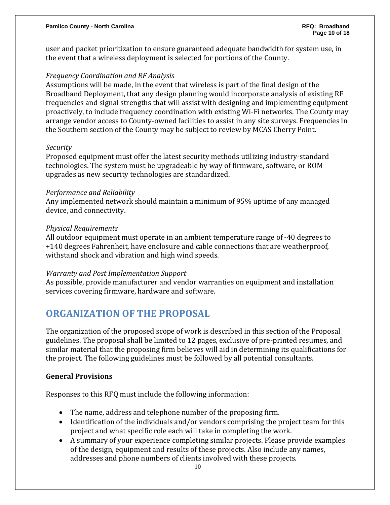user and packet prioritization to ensure guaranteed adequate bandwidth for system use, in the event that a wireless deployment is selected for portions of the County.

### *Frequency Coordination and RF Analysis*

Assumptions will be made, in the event that wireless is part of the final design of the Broadband Deployment, that any design planning would incorporate analysis of existing RF frequencies and signal strengths that will assist with designing and implementing equipment proactively, to include frequency coordination with existing Wi-Fi networks. The County may arrange vendor access to County-owned facilities to assist in any site surveys. Frequencies in the Southern section of the County may be subject to review by MCAS Cherry Point.

### *Security*

Proposed equipment must offer the latest security methods utilizing industry-standard technologies. The system must be upgradeable by way of firmware, software, or ROM upgrades as new security technologies are standardized.

#### *Performance and Reliability*

Any implemented network should maintain a minimum of 95% uptime of any managed device, and connectivity.

### *Physical Requirements*

All outdoor equipment must operate in an ambient temperature range of -40 degrees to +140 degrees Fahrenheit, have enclosure and cable connections that are weatherproof, withstand shock and vibration and high wind speeds.

### *Warranty and Post Implementation Support*

As possible, provide manufacturer and vendor warranties on equipment and installation services covering firmware, hardware and software.

### **ORGANIZATION OF THE PROPOSAL**

The organization of the proposed scope of work is described in this section of the Proposal guidelines. The proposal shall be limited to 12 pages, exclusive of pre-printed resumes, and similar material that the proposing firm believes will aid in determining its qualifications for the project. The following guidelines must be followed by all potential consultants.

### **General Provisions**

Responses to this RFQ must include the following information:

- The name, address and telephone number of the proposing firm.
- Identification of the individuals and/or vendors comprising the project team for this project and what specific role each will take in completing the work.
- A summary of your experience completing similar projects. Please provide examples of the design, equipment and results of these projects. Also include any names, addresses and phone numbers of clients involved with these projects.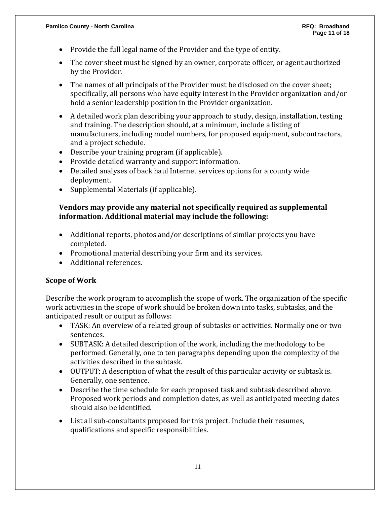- Provide the full legal name of the Provider and the type of entity.
- The cover sheet must be signed by an owner, corporate officer, or agent authorized by the Provider.
- The names of all principals of the Provider must be disclosed on the cover sheet; specifically, all persons who have equity interest in the Provider organization and/or hold a senior leadership position in the Provider organization.
- A detailed work plan describing your approach to study, design, installation, testing and training. The description should, at a minimum, include a listing of manufacturers, including model numbers, for proposed equipment, subcontractors, and a project schedule.
- Describe your training program (if applicable).
- Provide detailed warranty and support information.
- Detailed analyses of back haul Internet services options for a county wide deployment.
- Supplemental Materials (if applicable).

### **Vendors may provide any material not specifically required as supplemental information. Additional material may include the following:**

- Additional reports, photos and/or descriptions of similar projects you have completed.
- Promotional material describing your firm and its services.
- Additional references.

### **Scope of Work**

Describe the work program to accomplish the scope of work. The organization of the specific work activities in the scope of work should be broken down into tasks, subtasks, and the anticipated result or output as follows:

- TASK: An overview of a related group of subtasks or activities. Normally one or two sentences.
- SUBTASK: A detailed description of the work, including the methodology to be performed. Generally, one to ten paragraphs depending upon the complexity of the activities described in the subtask.
- OUTPUT: A description of what the result of this particular activity or subtask is. Generally, one sentence.
- Describe the time schedule for each proposed task and subtask described above. Proposed work periods and completion dates, as well as anticipated meeting dates should also be identified.
- List all sub-consultants proposed for this project. Include their resumes, qualifications and specific responsibilities.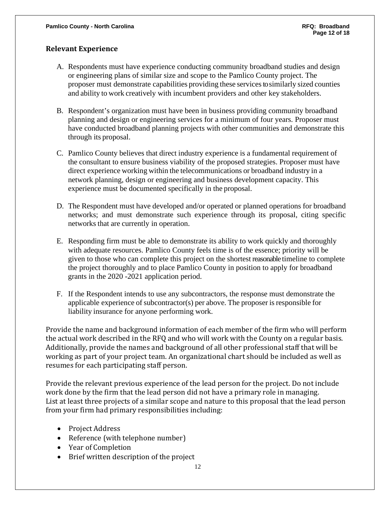### **Relevant Experience**

- A. Respondents must have experience conducting community broadband studies and design or engineering plans of similar size and scope to the Pamlico County project. The proposer must demonstrate capabilities providing these services to similarly sized counties and ability to work creatively with incumbent providers and other key stakeholders.
- B. Respondent's organization must have been in business providing community broadband planning and design or engineering services for a minimum of four years. Proposer must have conducted broadband planning projects with other communities and demonstrate this through its proposal.
- C. Pamlico County believes that direct industry experience is a fundamental requirement of the consultant to ensure business viability of the proposed strategies. Proposer must have direct experience working within the telecommunications or broadband industry in a network planning, design or engineering and business development capacity. This experience must be documented specifically in the proposal.
- D. The Respondent must have developed and/or operated or planned operations for broadband networks; and must demonstrate such experience through its proposal, citing specific networks that are currently in operation.
- E. Responding firm must be able to demonstrate its ability to work quickly and thoroughly with adequate resources. Pamlico County feels time is of the essence; priority will be given to those who can complete this project on the shortest reasonable timeline to complete the project thoroughly and to place Pamlico County in position to apply for broadband grants in the 2020 -2021 application period.
- F. If the Respondent intends to use any subcontractors, the response must demonstrate the applicable experience of subcontractor(s) per above. The proposer is responsible for liability insurance for anyone performing work.

Provide the name and background information of each member of the firm who will perform the actual work described in the RFQ and who will work with the County on a regular basis. Additionally, provide the names and background of all other professional staff that will be working as part of your project team. An organizational chart should be included as well as resumes for each participating staff person.

Provide the relevant previous experience of the lead person for the project. Do not include work done by the firm that the lead person did not have a primary role in managing. List at least three projects of a similar scope and nature to this proposal that the lead person from your firm had primary responsibilities including:

- Project Address
- Reference (with telephone number)
- Year of Completion
- Brief written description of the project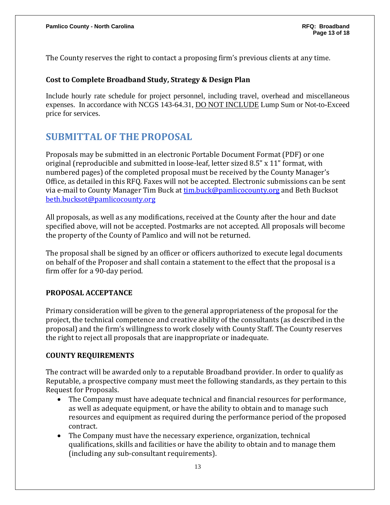The County reserves the right to contact a proposing firm's previous clients at any time.

### **Cost to Complete Broadband Study, Strategy & Design Plan**

Include hourly rate schedule for project personnel, including travel, overhead and miscellaneous expenses. In accordance with NCGS 143-64.31, DO NOT INCLUDE Lump Sum or Not-to-Exceed price for services.

### **SUBMITTAL OF THE PROPOSAL**

Proposals may be submitted in an electronic Portable Document Format (PDF) or one original (reproducible and submitted in loose-leaf, letter sized 8.5" x 11" format, with numbered pages) of the completed proposal must be received by the County Manager's Office, as detailed in this RFQ. Faxes will not be accepted. Electronic submissions can be sent via e-mail to County Manager Tim Buck at [tim.buck@pamlicocounty.org](mailto:tim.buck@pamlicocounty.org) and Beth Bucksot [beth.bucksot@pamlicocounty.org](mailto:beth.bucksot@pamlicocounty.org)

All proposals, as well as any modifications, received at the County after the hour and date specified above, will not be accepted. Postmarks are not accepted. All proposals will become the property of the County of Pamlico and will not be returned.

The proposal shall be signed by an officer or officers authorized to execute legal documents on behalf of the Proposer and shall contain a statement to the effect that the proposal is a firm offer for a 90-day period.

### **PROPOSAL ACCEPTANCE**

Primary consideration will be given to the general appropriateness of the proposal for the project, the technical competence and creative ability of the consultants (as described in the proposal) and the firm's willingness to work closely with County Staff. The County reserves the right to reject all proposals that are inappropriate or inadequate.

### **COUNTY REQUIREMENTS**

The contract will be awarded only to a reputable Broadband provider. In order to qualify as Reputable, a prospective company must meet the following standards, as they pertain to this Request for Proposals.

- The Company must have adequate technical and financial resources for performance, as well as adequate equipment, or have the ability to obtain and to manage such resources and equipment as required during the performance period of the proposed contract.
- The Company must have the necessary experience, organization, technical qualifications, skills and facilities or have the ability to obtain and to manage them (including any sub-consultant requirements).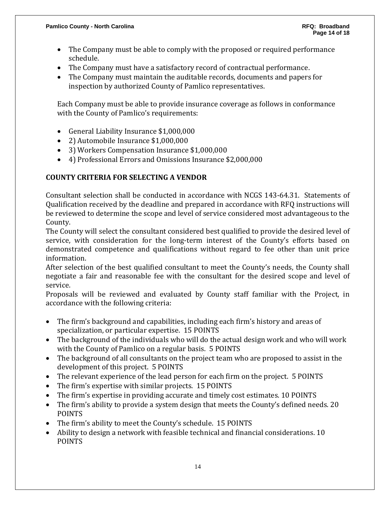- The Company must be able to comply with the proposed or required performance schedule.
- The Company must have a satisfactory record of contractual performance.
- The Company must maintain the auditable records, documents and papers for inspection by authorized County of Pamlico representatives.

Each Company must be able to provide insurance coverage as follows in conformance with the County of Pamlico's requirements:

- General Liability Insurance \$1,000,000
- 2) Automobile Insurance \$1,000,000
- 3) Workers Compensation Insurance \$1,000,000
- 4) Professional Errors and Omissions Insurance \$2,000,000

### **COUNTY CRITERIA FOR SELECTING A VENDOR**

Consultant selection shall be conducted in accordance with NCGS 143-64.31. Statements of Qualification received by the deadline and prepared in accordance with RFQ instructions will be reviewed to determine the scope and level of service considered most advantageous to the County.

The County will select the consultant considered best qualified to provide the desired level of service, with consideration for the long-term interest of the County's efforts based on demonstrated competence and qualifications without regard to fee other than unit price information.

After selection of the best qualified consultant to meet the County's needs, the County shall negotiate a fair and reasonable fee with the consultant for the desired scope and level of service.

Proposals will be reviewed and evaluated by County staff familiar with the Project, in accordance with the following criteria:

- The firm's background and capabilities, including each firm's history and areas of specialization, or particular expertise. 15 POINTS
- The background of the individuals who will do the actual design work and who will work with the County of Pamlico on a regular basis. 5 POINTS
- The background of all consultants on the project team who are proposed to assist in the development of this project. 5 POINTS
- The relevant experience of the lead person for each firm on the project. 5 POINTS
- The firm's expertise with similar projects. 15 POINTS
- The firm's expertise in providing accurate and timely cost estimates. 10 POINTS
- The firm's ability to provide a system design that meets the County's defined needs. 20 POINTS
- The firm's ability to meet the County's schedule. 15 POINTS
- Ability to design a network with feasible technical and financial considerations. 10 POINTS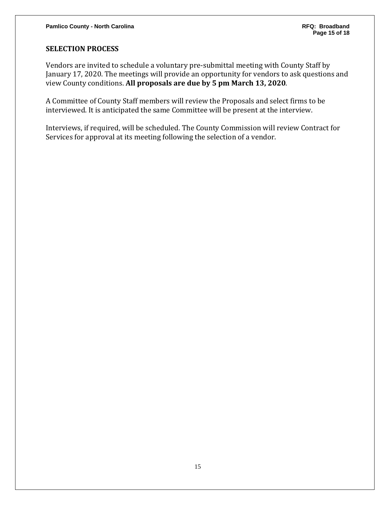### **SELECTION PROCESS**

Vendors are invited to schedule a voluntary pre-submittal meeting with County Staff by January 17, 2020. The meetings will provide an opportunity for vendors to ask questions and view County conditions. **All proposals are due by 5 pm March 13, 2020**.

A Committee of County Staff members will review the Proposals and select firms to be interviewed. It is anticipated the same Committee will be present at the interview.

Interviews, if required, will be scheduled. The County Commission will review Contract for Services for approval at its meeting following the selection of a vendor.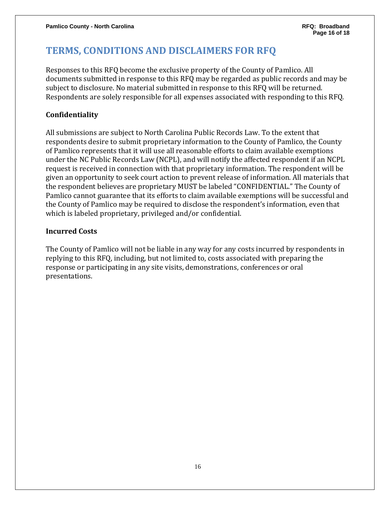### **TERMS, CONDITIONS AND DISCLAIMERS FOR RFQ**

Responses to this RFQ become the exclusive property of the County of Pamlico. All documents submitted in response to this RFQ may be regarded as public records and may be subject to disclosure. No material submitted in response to this RFQ will be returned. Respondents are solely responsible for all expenses associated with responding to this RFQ.

### **Confidentiality**

All submissions are subject to North Carolina Public Records Law. To the extent that respondents desire to submit proprietary information to the County of Pamlico, the County of Pamlico represents that it will use all reasonable efforts to claim available exemptions under the NC Public Records Law (NCPL), and will notify the affected respondent if an NCPL request is received in connection with that proprietary information. The respondent will be given an opportunity to seek court action to prevent release of information. All materials that the respondent believes are proprietary MUST be labeled "CONFIDENTIAL." The County of Pamlico cannot guarantee that its efforts to claim available exemptions will be successful and the County of Pamlico may be required to disclose the respondent's information, even that which is labeled proprietary, privileged and/or confidential.

### **Incurred Costs**

The County of Pamlico will not be liable in any way for any costs incurred by respondents in replying to this RFQ, including, but not limited to, costs associated with preparing the response or participating in any site visits, demonstrations, conferences or oral presentations.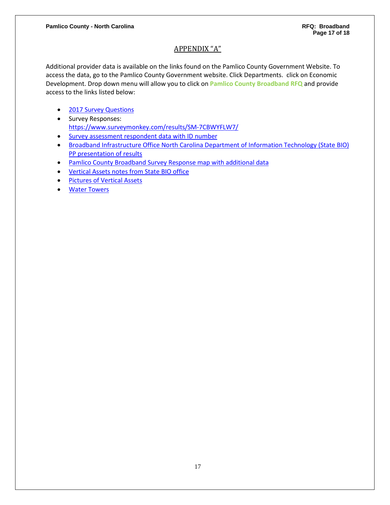### APPENDIX "A"

Additional provider data is available on the links found on the Pamlico County Government Website. To access the data, go to the Pamlico County Government website. Click Departments. click on Economic Development. Drop down menu will allow you to click on **Pamlico County Broadband RFQ** and provide access to the links listed below:

- [2017 Survey Questions](https://www.pamlicocounty.org/Data/Sites/1/media/2017-pc-community-internet-survey-final.pdf)
- Survey Responses: <https://www.surveymonkey.com/results/SM-7CBWYFLW7/>
- [Survey assessment respondent](https://www.pamlicocounty.org/Data/Sites/1/media/pamlico-county-internet-assessment-surveyrfq.pdf) data with ID number
- Broadband Infrastructure Office [North Carolina Department of Information Technology \(State BIO\)](https://www.pamlicocounty.org/Data/Sites/1/media/pamlico-county-nc-bio-providers-meeting-rfq.pdf)  [PP presentation of results](https://www.pamlicocounty.org/Data/Sites/1/media/pamlico-county-nc-bio-providers-meeting-rfq.pdf)
- [Pamlico County Broadband Survey Response map with additional data](https://www.pamlicocounty.org/Data/Sites/1/media/pamlico-map.pdf)
- [Vertical Assets notes from State BIO office](https://www.pamlicocounty.org/Data/Sites/1/media/pamlico-vertical-assets-notes-final.pdf)
- [Pictures of Vertical Assets](https://www.pamlicocounty.org/Data/Sites/1/media/pamlico-county-fiber--tall-structure-pictures.pdf)
- <span id="page-16-0"></span>• [Water Towers](https://www.pamlicocounty.org/Data/Sites/1/media/pamlico-water-towers.pdf)